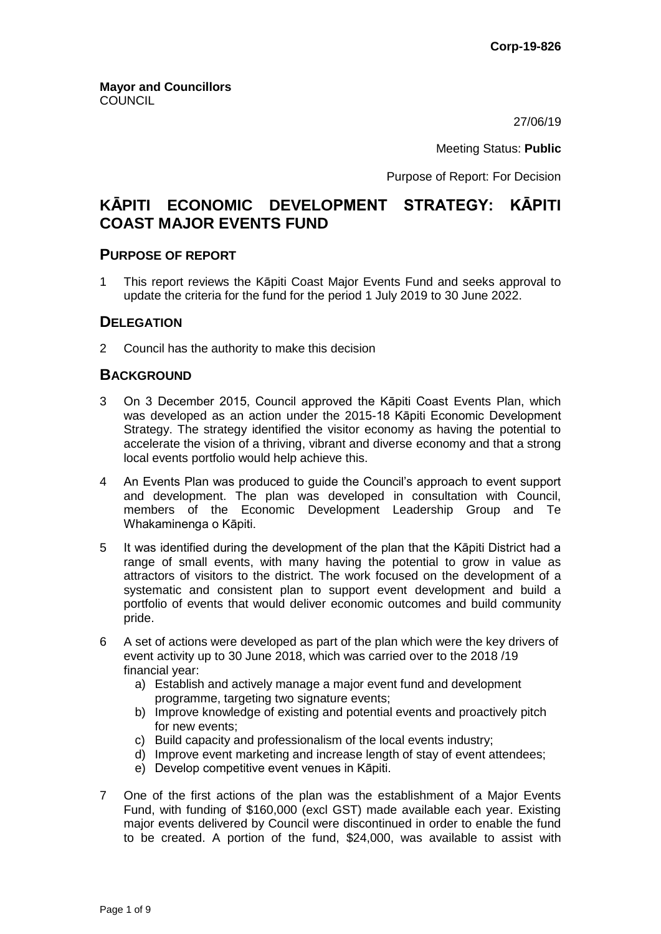27/06/19

Meeting Status: **Public**

Purpose of Report: For Decision

# **KĀPITI ECONOMIC DEVELOPMENT STRATEGY: KĀPITI COAST MAJOR EVENTS FUND**

### **PURPOSE OF REPORT**

1 This report reviews the Kāpiti Coast Major Events Fund and seeks approval to update the criteria for the fund for the period 1 July 2019 to 30 June 2022.

### **DELEGATION**

2 Council has the authority to make this decision

## **BACKGROUND**

- 3 On 3 December 2015, Council approved the Kāpiti Coast Events Plan, which was developed as an action under the 2015-18 Kāpiti Economic Development Strategy. The strategy identified the visitor economy as having the potential to accelerate the vision of a thriving, vibrant and diverse economy and that a strong local events portfolio would help achieve this.
- 4 An Events Plan was produced to guide the Council's approach to event support and development. The plan was developed in consultation with Council, members of the Economic Development Leadership Group and Te Whakaminenga o Kāpiti.
- 5 It was identified during the development of the plan that the Kāpiti District had a range of small events, with many having the potential to grow in value as attractors of visitors to the district. The work focused on the development of a systematic and consistent plan to support event development and build a portfolio of events that would deliver economic outcomes and build community pride.
- 6 A set of actions were developed as part of the plan which were the key drivers of event activity up to 30 June 2018, which was carried over to the 2018 /19 financial year:
	- a) Establish and actively manage a major event fund and development programme, targeting two signature events;
	- b) Improve knowledge of existing and potential events and proactively pitch for new events;
	- c) Build capacity and professionalism of the local events industry;
	- d) Improve event marketing and increase length of stay of event attendees;
	- e) Develop competitive event venues in Kāpiti.
- 7 One of the first actions of the plan was the establishment of a Major Events Fund, with funding of \$160,000 (excl GST) made available each year. Existing major events delivered by Council were discontinued in order to enable the fund to be created. A portion of the fund, \$24,000, was available to assist with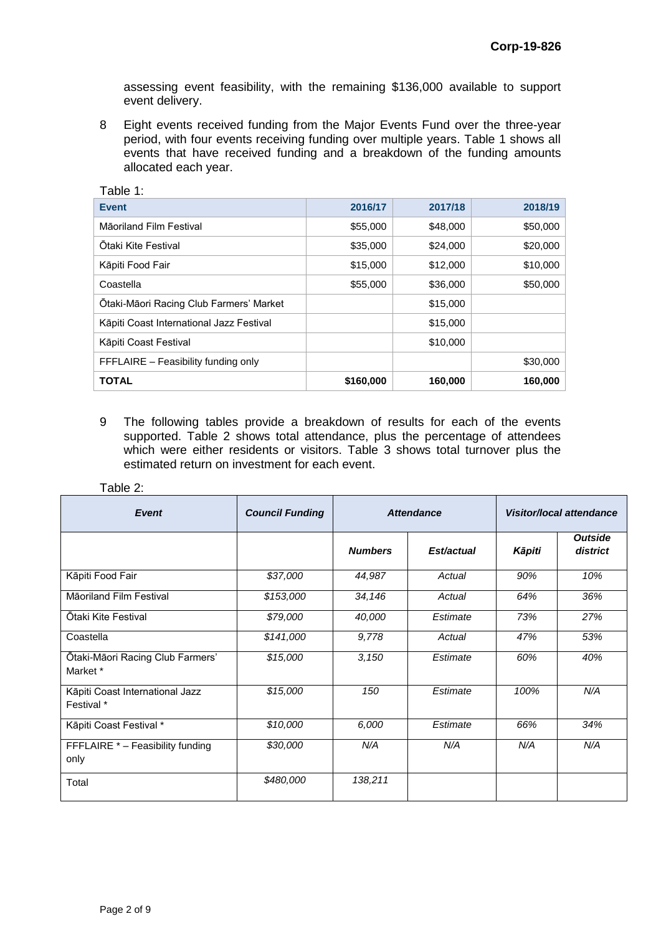assessing event feasibility, with the remaining \$136,000 available to support event delivery.

8 Eight events received funding from the Major Events Fund over the three-year period, with four events receiving funding over multiple years. Table 1 shows all events that have received funding and a breakdown of the funding amounts allocated each year.

| Table 1:                                 |           |          |          |  |
|------------------------------------------|-----------|----------|----------|--|
| <b>Event</b>                             | 2016/17   | 2017/18  | 2018/19  |  |
| Māoriland Film Festival                  | \$55,000  | \$48,000 | \$50,000 |  |
| Otaki Kite Festival                      | \$35,000  | \$24,000 | \$20,000 |  |
| Kāpiti Food Fair                         | \$15,000  | \$12,000 | \$10,000 |  |
| Coastella                                | \$55,000  | \$36,000 | \$50,000 |  |
| Ōtaki-Māori Racing Club Farmers' Market  |           | \$15,000 |          |  |
| Kāpiti Coast International Jazz Festival |           | \$15,000 |          |  |
| Kāpiti Coast Festival                    |           | \$10,000 |          |  |
| FFFLAIRE - Feasibility funding only      |           |          | \$30,000 |  |
| <b>TOTAL</b>                             | \$160,000 | 160,000  | 160,000  |  |

9 The following tables provide a breakdown of results for each of the events supported. Table 2 shows total attendance, plus the percentage of attendees which were either residents or visitors. Table 3 shows total turnover plus the estimated return on investment for each event.

#### Table 2:

| Event                                         | <b>Council Funding</b> | <b>Attendance</b> |            | <b>Visitor/local attendance</b> |                            |
|-----------------------------------------------|------------------------|-------------------|------------|---------------------------------|----------------------------|
|                                               |                        | <b>Numbers</b>    | Est/actual | Kāpiti                          | <b>Outside</b><br>district |
| Kāpiti Food Fair                              | \$37,000               | 44,987            | Actual     | 90%                             | 10%                        |
| Māoriland Film Festival                       | \$153,000              | 34,146            | Actual     | 64%                             | 36%                        |
| Ōtaki Kite Festival                           | \$79,000               | 40,000            | Estimate   | 73%                             | 27%                        |
| Coastella                                     | \$141,000              | 9,778             | Actual     | 47%                             | 53%                        |
| Ōtaki-Māori Racing Club Farmers'<br>Market *  | \$15,000               | 3,150             | Estimate   | 60%                             | 40%                        |
| Kāpiti Coast International Jazz<br>Festival * | \$15,000               | 150               | Estimate   | 100%                            | N/A                        |
| Kāpiti Coast Festival *                       | \$10,000               | 6,000             | Estimate   | 66%                             | 34%                        |
| FFFLAIRE * - Feasibility funding<br>only      | \$30,000               | N/A               | N/A        | N/A                             | N/A                        |
| Total                                         | \$480,000              | 138,211           |            |                                 |                            |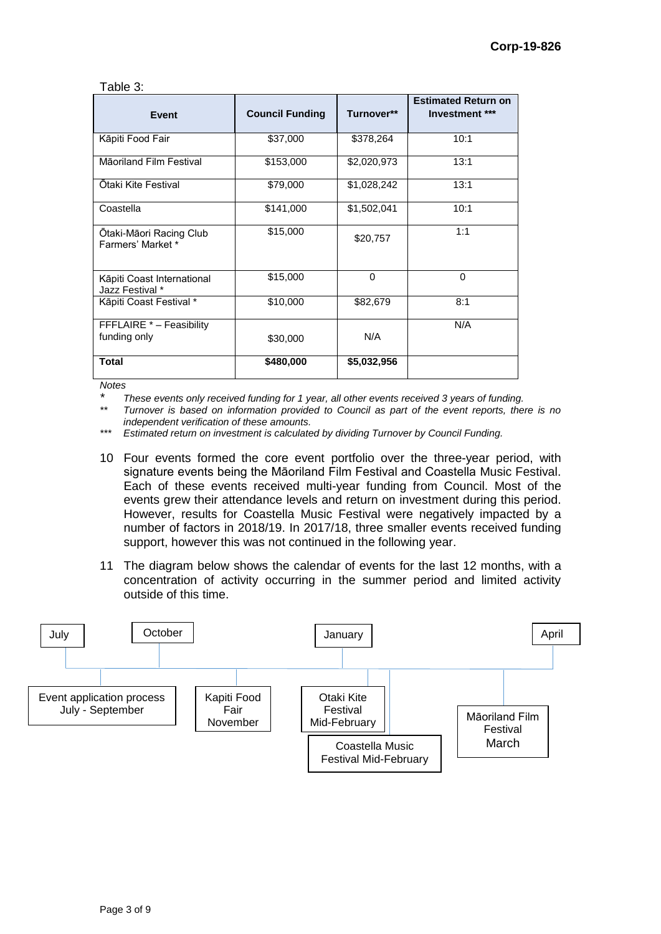| able |  |
|------|--|
|------|--|

| <b>Event</b>                                  | <b>Council Funding</b> | Turnover**  | <b>Estimated Return on</b><br>Investment *** |
|-----------------------------------------------|------------------------|-------------|----------------------------------------------|
| Kāpiti Food Fair                              | \$37,000               | \$378,264   | 10:1                                         |
| Māoriland Film Festival                       | \$153,000              | \$2,020,973 | 13:1                                         |
| Ōtaki Kite Festival                           | \$79,000               | \$1,028,242 | 13:1                                         |
| Coastella                                     | \$141,000              | \$1,502,041 | 10:1                                         |
| Otaki-Māori Racing Club<br>Farmers' Market *  | \$15,000               | \$20,757    | 1:1                                          |
| Kāpiti Coast International<br>Jazz Festival * | \$15,000               | $\Omega$    | $\Omega$                                     |
| Kāpiti Coast Festival *                       | \$10,000               | \$82,679    | 8:1                                          |
| FFFLAIRE * - Feasibility                      |                        |             | N/A                                          |
| funding only                                  | \$30,000               | N/A         |                                              |
| Total                                         | \$480,000              | \$5,032,956 |                                              |

*Notes*

*\* These events only received funding for 1 year, all other events received 3 years of funding.*

*\*\* Turnover is based on information provided to Council as part of the event reports, there is no independent verification of these amounts.*

*\*\*\* Estimated return on investment is calculated by dividing Turnover by Council Funding.* 

- 10 Four events formed the core event portfolio over the three-year period, with signature events being the Māoriland Film Festival and Coastella Music Festival. Each of these events received multi-year funding from Council. Most of the events grew their attendance levels and return on investment during this period. However, results for Coastella Music Festival were negatively impacted by a number of factors in 2018/19. In 2017/18, three smaller events received funding support, however this was not continued in the following year.
- 11 The diagram below shows the calendar of events for the last 12 months, with a concentration of activity occurring in the summer period and limited activity outside of this time.

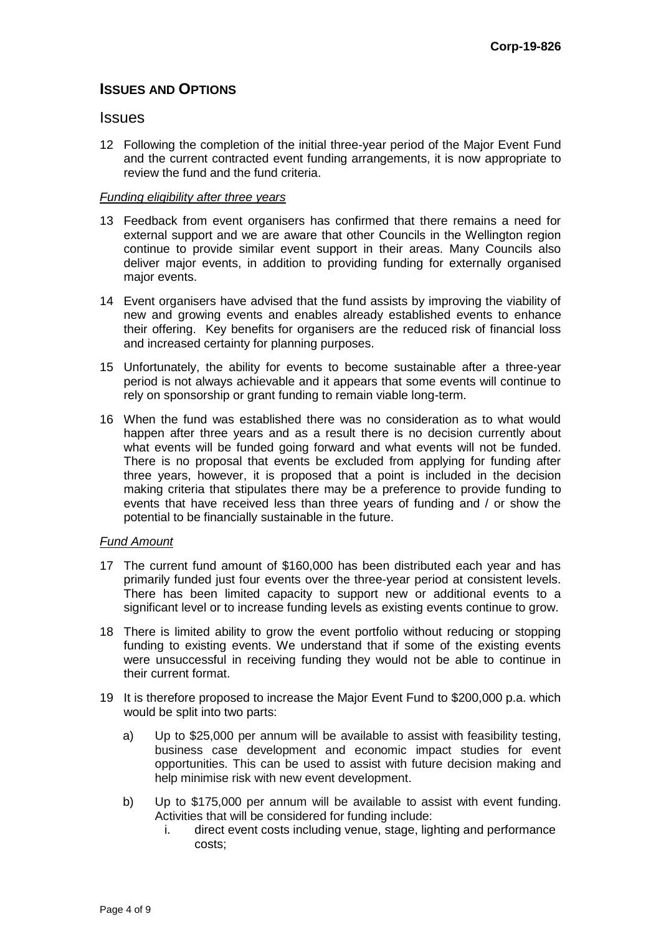## **ISSUES AND OPTIONS**

### **Issues**

12 Following the completion of the initial three-year period of the Major Event Fund and the current contracted event funding arrangements, it is now appropriate to review the fund and the fund criteria.

### *Funding eligibility after three years*

- 13 Feedback from event organisers has confirmed that there remains a need for external support and we are aware that other Councils in the Wellington region continue to provide similar event support in their areas. Many Councils also deliver major events, in addition to providing funding for externally organised major events.
- 14 Event organisers have advised that the fund assists by improving the viability of new and growing events and enables already established events to enhance their offering. Key benefits for organisers are the reduced risk of financial loss and increased certainty for planning purposes.
- 15 Unfortunately, the ability for events to become sustainable after a three-year period is not always achievable and it appears that some events will continue to rely on sponsorship or grant funding to remain viable long-term.
- 16 When the fund was established there was no consideration as to what would happen after three years and as a result there is no decision currently about what events will be funded going forward and what events will not be funded. There is no proposal that events be excluded from applying for funding after three years, however, it is proposed that a point is included in the decision making criteria that stipulates there may be a preference to provide funding to events that have received less than three years of funding and / or show the potential to be financially sustainable in the future.

### *Fund Amount*

- 17 The current fund amount of \$160,000 has been distributed each year and has primarily funded just four events over the three-year period at consistent levels. There has been limited capacity to support new or additional events to a significant level or to increase funding levels as existing events continue to grow.
- 18 There is limited ability to grow the event portfolio without reducing or stopping funding to existing events. We understand that if some of the existing events were unsuccessful in receiving funding they would not be able to continue in their current format.
- 19 It is therefore proposed to increase the Major Event Fund to \$200,000 p.a. which would be split into two parts:
	- a) Up to \$25,000 per annum will be available to assist with feasibility testing, business case development and economic impact studies for event opportunities. This can be used to assist with future decision making and help minimise risk with new event development.
	- b) Up to \$175,000 per annum will be available to assist with event funding. Activities that will be considered for funding include:
		- i. direct event costs including venue, stage, lighting and performance costs;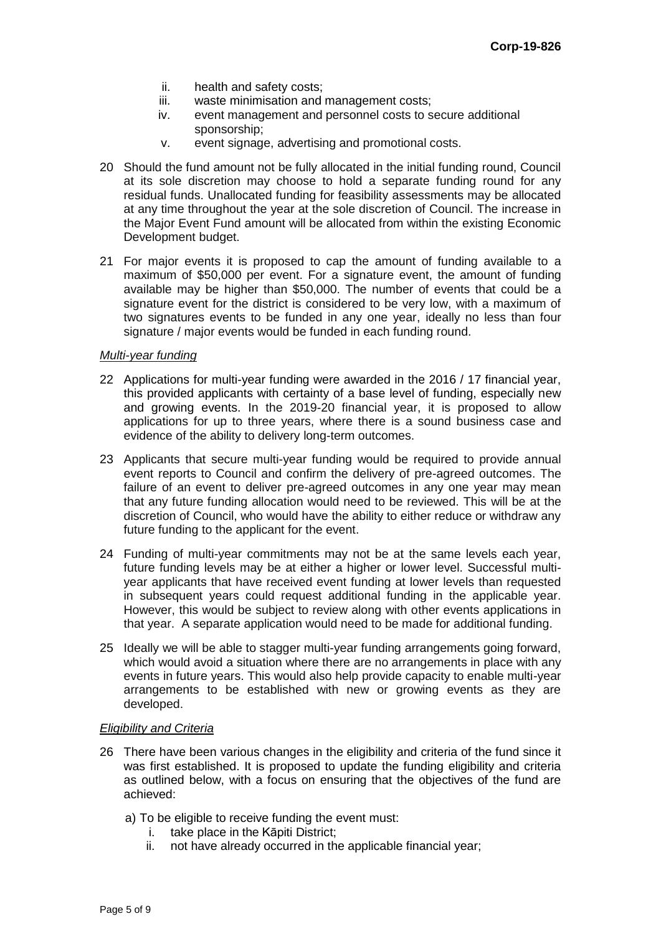- ii. health and safety costs;
- iii. waste minimisation and management costs;<br>iv. event management and personnel costs to s
- event management and personnel costs to secure additional sponsorship;
- v. event signage, advertising and promotional costs.
- 20 Should the fund amount not be fully allocated in the initial funding round, Council at its sole discretion may choose to hold a separate funding round for any residual funds. Unallocated funding for feasibility assessments may be allocated at any time throughout the year at the sole discretion of Council. The increase in the Major Event Fund amount will be allocated from within the existing Economic Development budget.
- 21 For major events it is proposed to cap the amount of funding available to a maximum of \$50,000 per event. For a signature event, the amount of funding available may be higher than \$50,000. The number of events that could be a signature event for the district is considered to be very low, with a maximum of two signatures events to be funded in any one year, ideally no less than four signature / major events would be funded in each funding round.

#### *Multi-year funding*

- 22 Applications for multi-year funding were awarded in the 2016 / 17 financial year, this provided applicants with certainty of a base level of funding, especially new and growing events. In the 2019-20 financial year, it is proposed to allow applications for up to three years, where there is a sound business case and evidence of the ability to delivery long-term outcomes.
- 23 Applicants that secure multi-year funding would be required to provide annual event reports to Council and confirm the delivery of pre-agreed outcomes. The failure of an event to deliver pre-agreed outcomes in any one year may mean that any future funding allocation would need to be reviewed. This will be at the discretion of Council, who would have the ability to either reduce or withdraw any future funding to the applicant for the event.
- 24 Funding of multi-year commitments may not be at the same levels each year, future funding levels may be at either a higher or lower level. Successful multiyear applicants that have received event funding at lower levels than requested in subsequent years could request additional funding in the applicable year. However, this would be subject to review along with other events applications in that year. A separate application would need to be made for additional funding.
- 25 Ideally we will be able to stagger multi-year funding arrangements going forward, which would avoid a situation where there are no arrangements in place with any events in future years. This would also help provide capacity to enable multi-year arrangements to be established with new or growing events as they are developed.

### *Eligibility and Criteria*

- 26 There have been various changes in the eligibility and criteria of the fund since it was first established. It is proposed to update the funding eligibility and criteria as outlined below, with a focus on ensuring that the objectives of the fund are achieved:
	- a) To be eligible to receive funding the event must:
		- i. take place in the Kāpiti District;
		- ii. not have already occurred in the applicable financial year;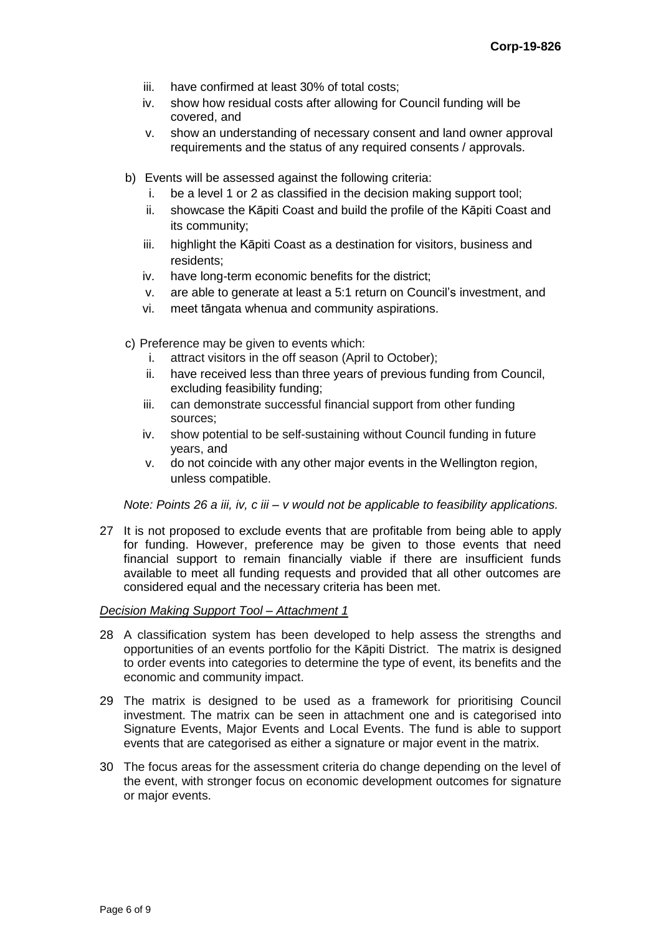- iii. have confirmed at least 30% of total costs;
- iv. show how residual costs after allowing for Council funding will be covered, and
- v. show an understanding of necessary consent and land owner approval requirements and the status of any required consents / approvals.
- b) Events will be assessed against the following criteria:
	- i. be a level 1 or 2 as classified in the decision making support tool;
	- ii. showcase the Kāpiti Coast and build the profile of the Kāpiti Coast and its community;
	- iii. highlight the Kāpiti Coast as a destination for visitors, business and residents;
	- iv. have long-term economic benefits for the district;
	- v. are able to generate at least a 5:1 return on Council's investment, and
	- vi. meet tāngata whenua and community aspirations.
- c) Preference may be given to events which:
	- i. attract visitors in the off season (April to October);
	- ii. have received less than three years of previous funding from Council, excluding feasibility funding;
	- iii. can demonstrate successful financial support from other funding sources;
	- iv. show potential to be self-sustaining without Council funding in future years, and
	- v. do not coincide with any other major events in the Wellington region, unless compatible.

*Note: Points 26 a iii, iv, c iii – v would not be applicable to feasibility applications.*

27 It is not proposed to exclude events that are profitable from being able to apply for funding. However, preference may be given to those events that need financial support to remain financially viable if there are insufficient funds available to meet all funding requests and provided that all other outcomes are considered equal and the necessary criteria has been met.

#### *Decision Making Support Tool – Attachment 1*

- 28 A classification system has been developed to help assess the strengths and opportunities of an events portfolio for the Kāpiti District. The matrix is designed to order events into categories to determine the type of event, its benefits and the economic and community impact.
- 29 The matrix is designed to be used as a framework for prioritising Council investment. The matrix can be seen in attachment one and is categorised into Signature Events, Major Events and Local Events. The fund is able to support events that are categorised as either a signature or major event in the matrix.
- 30 The focus areas for the assessment criteria do change depending on the level of the event, with stronger focus on economic development outcomes for signature or major events.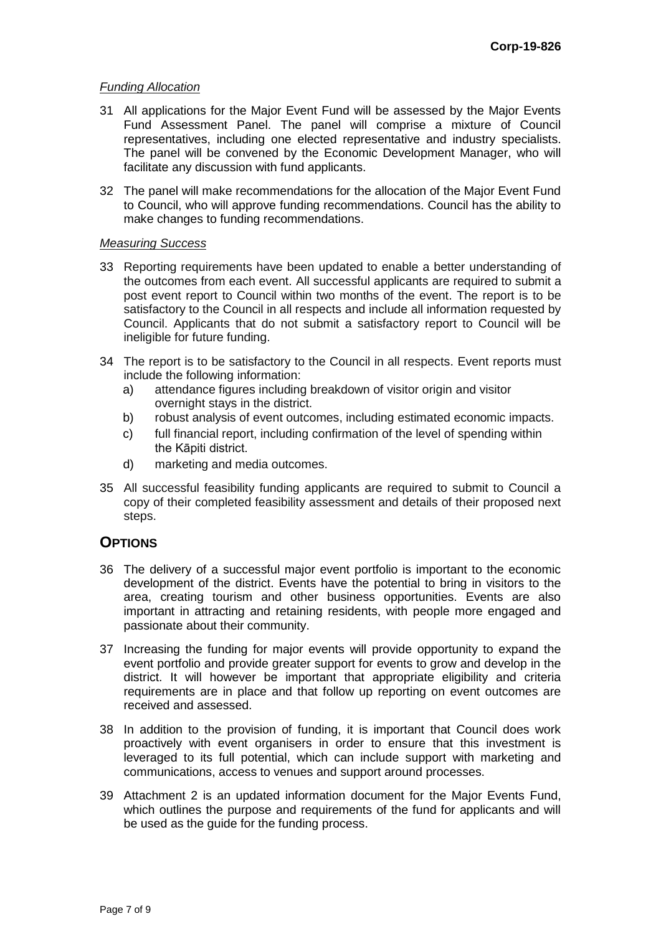#### *Funding Allocation*

- 31 All applications for the Major Event Fund will be assessed by the Major Events Fund Assessment Panel. The panel will comprise a mixture of Council representatives, including one elected representative and industry specialists. The panel will be convened by the Economic Development Manager, who will facilitate any discussion with fund applicants.
- 32 The panel will make recommendations for the allocation of the Major Event Fund to Council, who will approve funding recommendations. Council has the ability to make changes to funding recommendations.

### *Measuring Success*

- 33 Reporting requirements have been updated to enable a better understanding of the outcomes from each event. All successful applicants are required to submit a post event report to Council within two months of the event. The report is to be satisfactory to the Council in all respects and include all information requested by Council. Applicants that do not submit a satisfactory report to Council will be ineligible for future funding.
- 34 The report is to be satisfactory to the Council in all respects. Event reports must include the following information:
	- a) attendance figures including breakdown of visitor origin and visitor overnight stays in the district.
	- b) robust analysis of event outcomes, including estimated economic impacts.
	- c) full financial report, including confirmation of the level of spending within the Kāpiti district.
	- d) marketing and media outcomes.
- 35 All successful feasibility funding applicants are required to submit to Council a copy of their completed feasibility assessment and details of their proposed next steps.

## **OPTIONS**

- 36 The delivery of a successful major event portfolio is important to the economic development of the district. Events have the potential to bring in visitors to the area, creating tourism and other business opportunities. Events are also important in attracting and retaining residents, with people more engaged and passionate about their community.
- 37 Increasing the funding for major events will provide opportunity to expand the event portfolio and provide greater support for events to grow and develop in the district. It will however be important that appropriate eligibility and criteria requirements are in place and that follow up reporting on event outcomes are received and assessed.
- 38 In addition to the provision of funding, it is important that Council does work proactively with event organisers in order to ensure that this investment is leveraged to its full potential, which can include support with marketing and communications, access to venues and support around processes.
- 39 Attachment 2 is an updated information document for the Major Events Fund, which outlines the purpose and requirements of the fund for applicants and will be used as the guide for the funding process.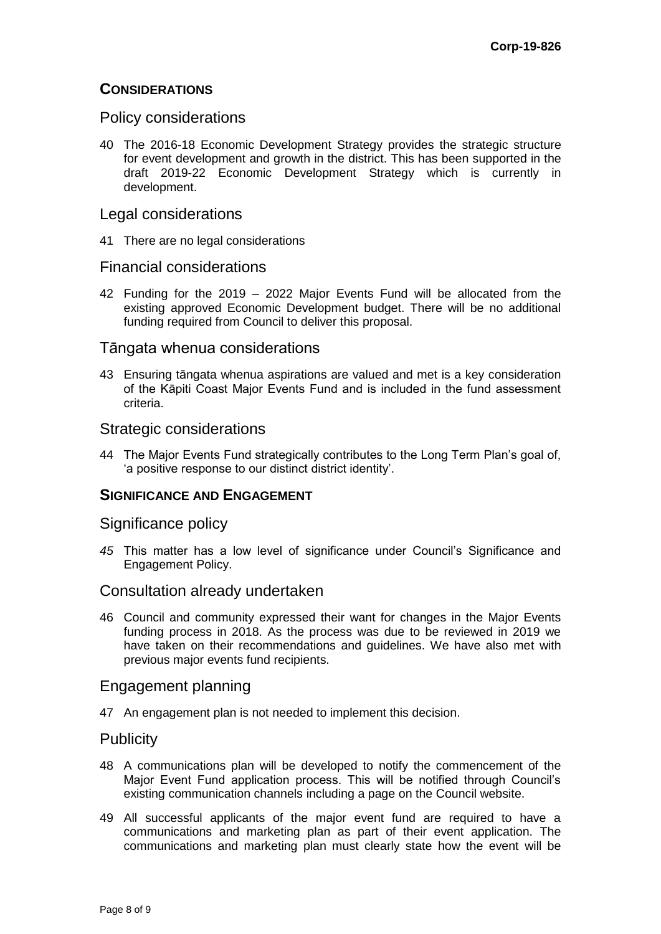## **CONSIDERATIONS**

## Policy considerations

40 The 2016-18 Economic Development Strategy provides the strategic structure for event development and growth in the district. This has been supported in the draft 2019-22 Economic Development Strategy which is currently in development.

## Legal considerations

41 There are no legal considerations

## Financial considerations

42 Funding for the 2019 – 2022 Major Events Fund will be allocated from the existing approved Economic Development budget. There will be no additional funding required from Council to deliver this proposal.

## Tāngata whenua considerations

43 Ensuring tāngata whenua aspirations are valued and met is a key consideration of the Kāpiti Coast Major Events Fund and is included in the fund assessment criteria.

## Strategic considerations

44 The Major Events Fund strategically contributes to the Long Term Plan's goal of, 'a positive response to our distinct district identity'.

## **SIGNIFICANCE AND ENGAGEMENT**

## Significance policy

*45* This matter has a low level of significance under Council's Significance and Engagement Policy.

## Consultation already undertaken

46 Council and community expressed their want for changes in the Major Events funding process in 2018. As the process was due to be reviewed in 2019 we have taken on their recommendations and guidelines. We have also met with previous major events fund recipients.

## Engagement planning

47 An engagement plan is not needed to implement this decision.

## **Publicity**

- 48 A communications plan will be developed to notify the commencement of the Major Event Fund application process. This will be notified through Council's existing communication channels including a page on the Council website.
- 49 All successful applicants of the major event fund are required to have a communications and marketing plan as part of their event application. The communications and marketing plan must clearly state how the event will be